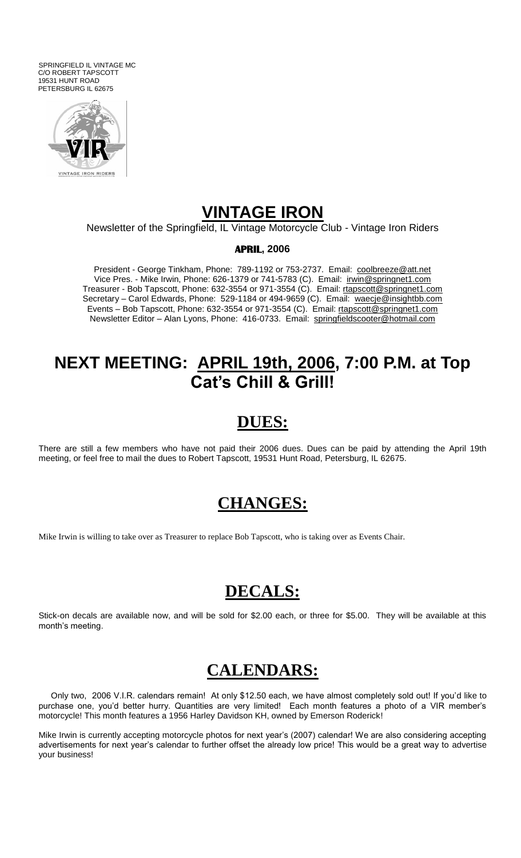SPRINGFIELD IL VINTAGE MC C/O ROBERT TAPSCOTT 19531 HUNT ROAD PETERSBURG IL 62675



#### **VINTAGE IRON**

Newsletter of the Springfield, IL Vintage Motorcycle Club - Vintage Iron Riders

#### **APRIL, 2006**

President - George Tinkham, Phone: 789-1192 or 753-2737. Email: coolbreeze@att.net Vice Pres. - Mike Irwin, Phone: 626-1379 or 741-5783 (C). Email: irwin@springnet1.com Treasurer - Bob Tapscott, Phone: 632-3554 or 971-3554 (C). Email: rtapscott@springnet1.com Secretary - Carol Edwards, Phone: 529-1184 or 494-9659 (C). Email: waecje@insightbb.com Events – Bob Tapscott, Phone: 632-3554 or 971-3554 (C). Email: rtapscott@springnet1.com Newsletter Editor – Alan Lyons, Phone: 416-0733. Email: springfieldscooter@hotmail.com

## **NEXT MEETING: APRIL 19th, 2006, 7:00 P.M. at Top Cat's Chill & Grill!**

#### **DUES:**

There are still a few members who have not paid their 2006 dues. Dues can be paid by attending the April 19th meeting, or feel free to mail the dues to Robert Tapscott, 19531 Hunt Road, Petersburg, IL 62675.

#### **CHANGES:**

Mike Irwin is willing to take over as Treasurer to replace Bob Tapscott, who is taking over as Events Chair.

## **DECALS:**

Stick-on decals are available now, and will be sold for \$2.00 each, or three for \$5.00. They will be available at this month's meeting.

#### **CALENDARS:**

 Only two, 2006 V.I.R. calendars remain! At only \$12.50 each, we have almost completely sold out! If you"d like to purchase one, you'd better hurry. Quantities are very limited! Each month features a photo of a VIR member's motorcycle! This month features a 1956 Harley Davidson KH, owned by Emerson Roderick!

Mike Irwin is currently accepting motorcycle photos for next year"s (2007) calendar! We are also considering accepting advertisements for next year"s calendar to further offset the already low price! This would be a great way to advertise your business!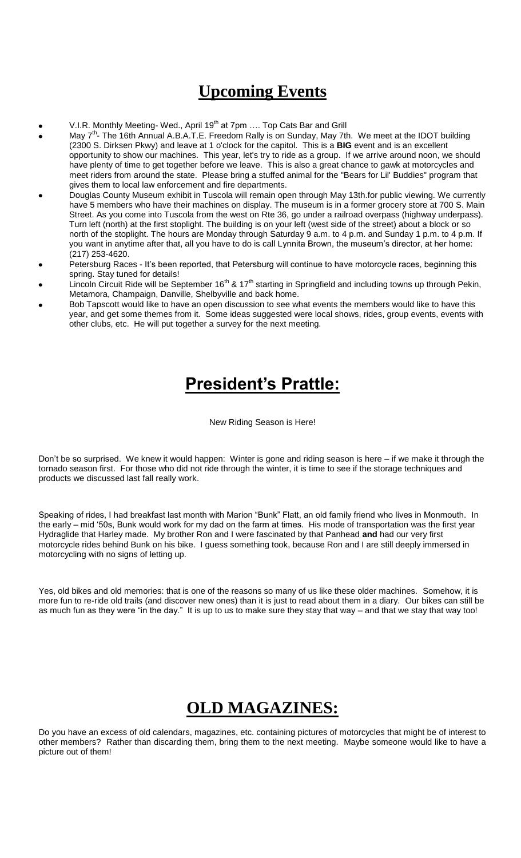## **Upcoming Events**

- V.I.R. Monthly Meeting- Wed., April 19<sup>th</sup> at 7pm .... Top Cats Bar and Grill
- May 7<sup>th</sup>- The 16th Annual A.B.A.T.E. Freedom Rally is on Sunday, May 7th. We meet at the IDOT building (2300 S. Dirksen Pkwy) and leave at 1 o'clock for the capitol. This is a **BIG** event and is an excellent opportunity to show our machines. This year, let's try to ride as a group. If we arrive around noon, we should have plenty of time to get together before we leave. This is also a great chance to gawk at motorcycles and meet riders from around the state. Please bring a stuffed animal for the "Bears for Lil' Buddies" program that gives them to local law enforcement and fire departments.
- Douglas County Museum exhibit in Tuscola will remain open through May 13th.for public viewing. We currently have 5 members who have their machines on display. The museum is in a former grocery store at 700 S. Main Street. As you come into Tuscola from the west on Rte 36, go under a railroad overpass (highway underpass). Turn left (north) at the first stoplight. The building is on your left (west side of the street) about a block or so north of the stoplight. The hours are Monday through Saturday 9 a.m. to 4 p.m. and Sunday 1 p.m. to 4 p.m. If you want in anytime after that, all you have to do is call Lynnita Brown, the museum"s director, at her home: (217) 253-4620.
- Petersburg Races It's been reported, that Petersburg will continue to have motorcycle races, beginning this spring. Stay tuned for details!
- Lincoln Circuit Ride will be September 16<sup>th</sup> & 17<sup>th</sup> starting in Springfield and including towns up through Pekin, Metamora, Champaign, Danville, Shelbyville and back home.
- Bob Tapscott would like to have an open discussion to see what events the members would like to have this year, and get some themes from it. Some ideas suggested were local shows, rides, group events, events with other clubs, etc. He will put together a survey for the next meeting.

# **President's Prattle:**

New Riding Season is Here!

Don"t be so surprised. We knew it would happen: Winter is gone and riding season is here – if we make it through the tornado season first. For those who did not ride through the winter, it is time to see if the storage techniques and products we discussed last fall really work.

Speaking of rides, I had breakfast last month with Marion "Bunk" Flatt, an old family friend who lives in Monmouth. In the early – mid "50s, Bunk would work for my dad on the farm at times. His mode of transportation was the first year Hydraglide that Harley made. My brother Ron and I were fascinated by that Panhead **and** had our very first motorcycle rides behind Bunk on his bike. I guess something took, because Ron and I are still deeply immersed in motorcycling with no signs of letting up.

Yes, old bikes and old memories: that is one of the reasons so many of us like these older machines. Somehow, it is more fun to re-ride old trails (and discover new ones) than it is just to read about them in a diary. Our bikes can still be as much fun as they were "in the day." It is up to us to make sure they stay that way – and that we stay that way too!

# **OLD MAGAZINES:**

Do you have an excess of old calendars, magazines, etc. containing pictures of motorcycles that might be of interest to other members? Rather than discarding them, bring them to the next meeting. Maybe someone would like to have a picture out of them!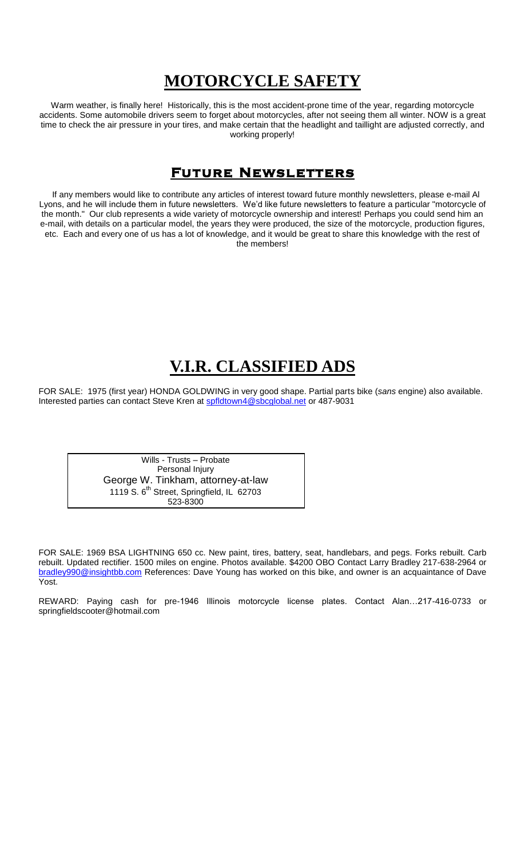# **MOTORCYCLE SAFETY**

Warm weather, is finally here! Historically, this is the most accident-prone time of the year, regarding motorcycle accidents. Some automobile drivers seem to forget about motorcycles, after not seeing them all winter. NOW is a great time to check the air pressure in your tires, and make certain that the headlight and taillight are adjusted correctly, and working properly!

#### FUTURE NEWSLETTERS

 If any members would like to contribute any articles of interest toward future monthly newsletters, please e-mail Al Lyons, and he will include them in future newsletters. We"d like future newsletters to feature a particular "motorcycle of the month." Our club represents a wide variety of motorcycle ownership and interest! Perhaps you could send him an e-mail, with details on a particular model, the years they were produced, the size of the motorcycle, production figures, etc. Each and every one of us has a lot of knowledge, and it would be great to share this knowledge with the rest of the members!

## **V.I.R. CLASSIFIED ADS**

FOR SALE: 1975 (first year) HONDA GOLDWING in very good shape. Partial parts bike (*sans* engine) also available. Interested parties can contact Steve Kren at [spfldtown4@sbcglobal.net](/cgi-bin/compose?mailto=1&msg=0C95FF39-2BF7-441F-9AC5-1E71A68D027C&start=0&len=253622&src=&type=x&to=spfldtown4@sbcglobal.net&cc=&bcc=&subject=&body=&curmbox=00000000-0000-0000-0000-000000000001&a=a282a2f6917543ace294fcc579d27bef1219295d94c2c1828981b31fed45f231) or 487-9031

Wills - Trusts – Probate Personal Injury George W. Tinkham, attorney-at-law 1119 S. 6th Street, Springfield, IL 62703 523-8300

FOR SALE: 1969 BSA LIGHTNING 650 cc. New paint, tires, battery, seat, handlebars, and pegs. Forks rebuilt. Carb rebuilt. Updated rectifier. 1500 miles on engine. Photos available. \$4200 OBO Contact Larry Bradley 217-638-2964 or [bradley990@insightbb.com](mailto:bradley990@insightbb.com) References: Dave Young has worked on this bike, and owner is an acquaintance of Dave Yost.

REWARD: Paying cash for pre-1946 Illinois motorcycle license plates. Contact Alan…217-416-0733 or springfieldscooter@hotmail.com